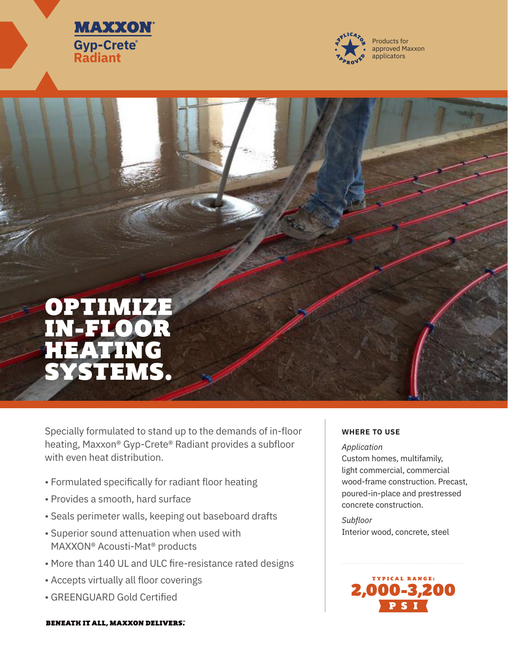



# OPTIMIZE IN-FLOOR HEATING SYSTEMS.

Specially formulated to stand up to the demands of in-floor heating, Maxxon® Gyp-Crete® Radiant provides a subfloor with even heat distribution.

- Formulated specifically for radiant floor heating
- Provides a smooth, hard surface
- Seals perimeter walls, keeping out baseboard drafts
- Superior sound attenuation when used with MAXXON® Acousti-Mat® products
- More than 140 UL and ULC fire-resistance rated designs
- Accepts virtually all floor coverings
- GREENGUARD Gold Certified

## **WHERE TO USE**

*Application*  Custom homes, multifamily, light commercial, commercial wood-frame construction. Precast, poured-in-place and prestressed concrete construction.

*Subfloor*  Interior wood, concrete, steel